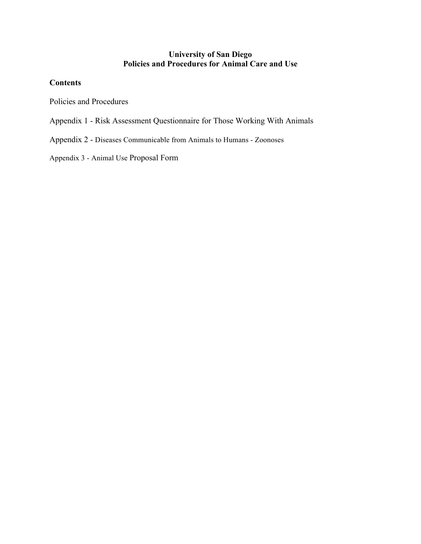# **University of San Diego Policies and Procedures for Animal Care and Use**

## **Contents**

Policies and Procedures

- Appendix 1 Risk Assessment Questionnaire for Those Working With Animals
- Appendix 2 Diseases Communicable from Animals to Humans Zoonoses

Appendix 3 - Animal Use Proposal Form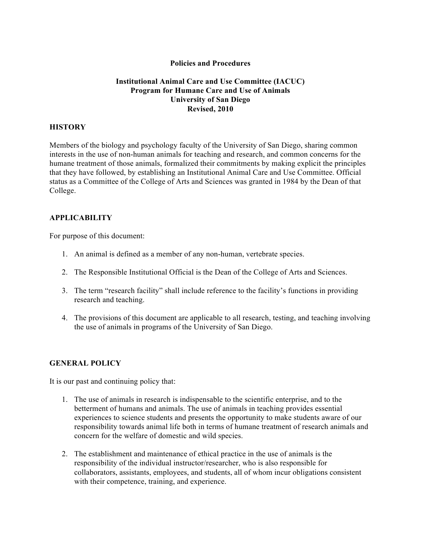### **Policies and Procedures**

## **Institutional Animal Care and Use Committee (IACUC) Program for Humane Care and Use of Animals University of San Diego Revised, 2010**

### **HISTORY**

Members of the biology and psychology faculty of the University of San Diego, sharing common interests in the use of non-human animals for teaching and research, and common concerns for the humane treatment of those animals, formalized their commitments by making explicit the principles that they have followed, by establishing an Institutional Animal Care and Use Committee. Official status as a Committee of the College of Arts and Sciences was granted in 1984 by the Dean of that College.

### **APPLICABILITY**

For purpose of this document:

- 1. An animal is defined as a member of any non-human, vertebrate species.
- 2. The Responsible Institutional Official is the Dean of the College of Arts and Sciences.
- 3. The term "research facility" shall include reference to the facility's functions in providing research and teaching.
- 4. The provisions of this document are applicable to all research, testing, and teaching involving the use of animals in programs of the University of San Diego.

### **GENERAL POLICY**

It is our past and continuing policy that:

- 1. The use of animals in research is indispensable to the scientific enterprise, and to the betterment of humans and animals. The use of animals in teaching provides essential experiences to science students and presents the opportunity to make students aware of our responsibility towards animal life both in terms of humane treatment of research animals and concern for the welfare of domestic and wild species.
- 2. The establishment and maintenance of ethical practice in the use of animals is the responsibility of the individual instructor/researcher, who is also responsible for collaborators, assistants, employees, and students, all of whom incur obligations consistent with their competence, training, and experience.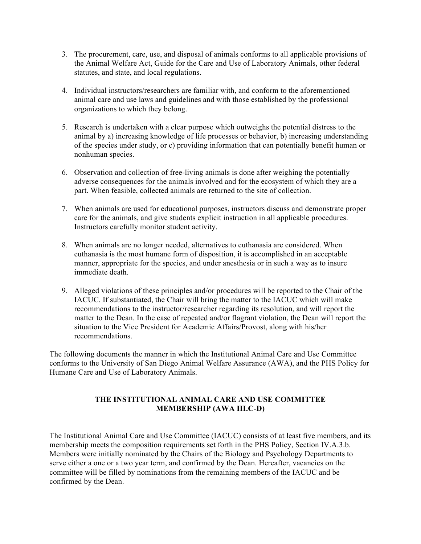- 3. The procurement, care, use, and disposal of animals conforms to all applicable provisions of the Animal Welfare Act, Guide for the Care and Use of Laboratory Animals, other federal statutes, and state, and local regulations.
- 4. Individual instructors/researchers are familiar with, and conform to the aforementioned animal care and use laws and guidelines and with those established by the professional organizations to which they belong.
- 5. Research is undertaken with a clear purpose which outweighs the potential distress to the animal by a) increasing knowledge of life processes or behavior, b) increasing understanding of the species under study, or c) providing information that can potentially benefit human or nonhuman species.
- 6. Observation and collection of free-living animals is done after weighing the potentially adverse consequences for the animals involved and for the ecosystem of which they are a part. When feasible, collected animals are returned to the site of collection.
- 7. When animals are used for educational purposes, instructors discuss and demonstrate proper care for the animals, and give students explicit instruction in all applicable procedures. Instructors carefully monitor student activity.
- 8. When animals are no longer needed, alternatives to euthanasia are considered. When euthanasia is the most humane form of disposition, it is accomplished in an acceptable manner, appropriate for the species, and under anesthesia or in such a way as to insure immediate death.
- 9. Alleged violations of these principles and/or procedures will be reported to the Chair of the IACUC. If substantiated, the Chair will bring the matter to the IACUC which will make recommendations to the instructor/researcher regarding its resolution, and will report the matter to the Dean. In the case of repeated and/or flagrant violation, the Dean will report the situation to the Vice President for Academic Affairs/Provost, along with his/her recommendations.

The following documents the manner in which the Institutional Animal Care and Use Committee conforms to the University of San Diego Animal Welfare Assurance (AWA), and the PHS Policy for Humane Care and Use of Laboratory Animals.

## **THE INSTITUTIONAL ANIMAL CARE AND USE COMMITTEE MEMBERSHIP (AWA III.C-D)**

The Institutional Animal Care and Use Committee (IACUC) consists of at least five members, and its membership meets the composition requirements set forth in the PHS Policy, Section IV.A.3.b. Members were initially nominated by the Chairs of the Biology and Psychology Departments to serve either a one or a two year term, and confirmed by the Dean. Hereafter, vacancies on the committee will be filled by nominations from the remaining members of the IACUC and be confirmed by the Dean.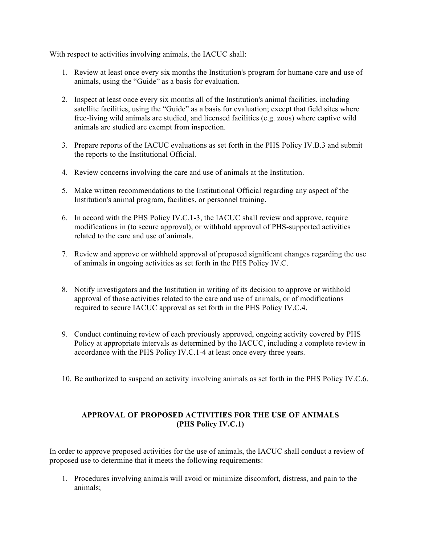With respect to activities involving animals, the IACUC shall:

- 1. Review at least once every six months the Institution's program for humane care and use of animals, using the "Guide" as a basis for evaluation.
- 2. Inspect at least once every six months all of the Institution's animal facilities, including satellite facilities, using the "Guide" as a basis for evaluation; except that field sites where free-living wild animals are studied, and licensed facilities (e.g. zoos) where captive wild animals are studied are exempt from inspection.
- 3. Prepare reports of the IACUC evaluations as set forth in the PHS Policy IV.B.3 and submit the reports to the Institutional Official.
- 4. Review concerns involving the care and use of animals at the Institution.
- 5. Make written recommendations to the Institutional Official regarding any aspect of the Institution's animal program, facilities, or personnel training.
- 6. In accord with the PHS Policy IV.C.1-3, the IACUC shall review and approve, require modifications in (to secure approval), or withhold approval of PHS-supported activities related to the care and use of animals.
- 7. Review and approve or withhold approval of proposed significant changes regarding the use of animals in ongoing activities as set forth in the PHS Policy IV.C.
- 8. Notify investigators and the Institution in writing of its decision to approve or withhold approval of those activities related to the care and use of animals, or of modifications required to secure IACUC approval as set forth in the PHS Policy IV.C.4.
- 9. Conduct continuing review of each previously approved, ongoing activity covered by PHS Policy at appropriate intervals as determined by the IACUC, including a complete review in accordance with the PHS Policy IV.C.1-4 at least once every three years.
- 10. Be authorized to suspend an activity involving animals as set forth in the PHS Policy IV.C.6.

## **APPROVAL OF PROPOSED ACTIVITIES FOR THE USE OF ANIMALS (PHS Policy IV.C.1)**

In order to approve proposed activities for the use of animals, the IACUC shall conduct a review of proposed use to determine that it meets the following requirements:

1. Procedures involving animals will avoid or minimize discomfort, distress, and pain to the animals;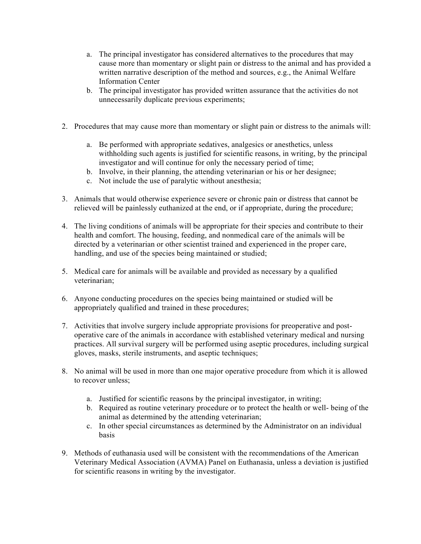- a. The principal investigator has considered alternatives to the procedures that may cause more than momentary or slight pain or distress to the animal and has provided a written narrative description of the method and sources, e.g., the Animal Welfare Information Center
- b. The principal investigator has provided written assurance that the activities do not unnecessarily duplicate previous experiments;
- 2. Procedures that may cause more than momentary or slight pain or distress to the animals will:
	- a. Be performed with appropriate sedatives, analgesics or anesthetics, unless withholding such agents is justified for scientific reasons, in writing, by the principal investigator and will continue for only the necessary period of time;
	- b. Involve, in their planning, the attending veterinarian or his or her designee;
	- c. Not include the use of paralytic without anesthesia;
- 3. Animals that would otherwise experience severe or chronic pain or distress that cannot be relieved will be painlessly euthanized at the end, or if appropriate, during the procedure;
- 4. The living conditions of animals will be appropriate for their species and contribute to their health and comfort. The housing, feeding, and nonmedical care of the animals will be directed by a veterinarian or other scientist trained and experienced in the proper care, handling, and use of the species being maintained or studied;
- 5. Medical care for animals will be available and provided as necessary by a qualified veterinarian;
- 6. Anyone conducting procedures on the species being maintained or studied will be appropriately qualified and trained in these procedures;
- 7. Activities that involve surgery include appropriate provisions for preoperative and postoperative care of the animals in accordance with established veterinary medical and nursing practices. All survival surgery will be performed using aseptic procedures, including surgical gloves, masks, sterile instruments, and aseptic techniques;
- 8. No animal will be used in more than one major operative procedure from which it is allowed to recover unless;
	- a. Justified for scientific reasons by the principal investigator, in writing;
	- b. Required as routine veterinary procedure or to protect the health or well- being of the animal as determined by the attending veterinarian;
	- c. In other special circumstances as determined by the Administrator on an individual basis
- 9. Methods of euthanasia used will be consistent with the recommendations of the American Veterinary Medical Association (AVMA) Panel on Euthanasia, unless a deviation is justified for scientific reasons in writing by the investigator.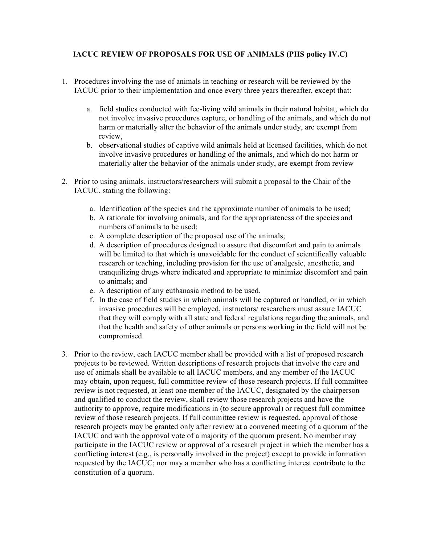## **IACUC REVIEW OF PROPOSALS FOR USE OF ANIMALS (PHS policy IV.C)**

- 1. Procedures involving the use of animals in teaching or research will be reviewed by the IACUC prior to their implementation and once every three years thereafter, except that:
	- a. field studies conducted with fee-living wild animals in their natural habitat, which do not involve invasive procedures capture, or handling of the animals, and which do not harm or materially alter the behavior of the animals under study, are exempt from review,
	- b. observational studies of captive wild animals held at licensed facilities, which do not involve invasive procedures or handling of the animals, and which do not harm or materially alter the behavior of the animals under study, are exempt from review
- 2. Prior to using animals, instructors/researchers will submit a proposal to the Chair of the IACUC, stating the following:
	- a. Identification of the species and the approximate number of animals to be used;
	- b. A rationale for involving animals, and for the appropriateness of the species and numbers of animals to be used;
	- c. A complete description of the proposed use of the animals;
	- d. A description of procedures designed to assure that discomfort and pain to animals will be limited to that which is unavoidable for the conduct of scientifically valuable research or teaching, including provision for the use of analgesic, anesthetic, and tranquilizing drugs where indicated and appropriate to minimize discomfort and pain to animals; and
	- e. A description of any euthanasia method to be used.
	- f. In the case of field studies in which animals will be captured or handled, or in which invasive procedures will be employed, instructors/ researchers must assure IACUC that they will comply with all state and federal regulations regarding the animals, and that the health and safety of other animals or persons working in the field will not be compromised.
- 3. Prior to the review, each IACUC member shall be provided with a list of proposed research projects to be reviewed. Written descriptions of research projects that involve the care and use of animals shall be available to all IACUC members, and any member of the IACUC may obtain, upon request, full committee review of those research projects. If full committee review is not requested, at least one member of the IACUC, designated by the chairperson and qualified to conduct the review, shall review those research projects and have the authority to approve, require modifications in (to secure approval) or request full committee review of those research projects. If full committee review is requested, approval of those research projects may be granted only after review at a convened meeting of a quorum of the IACUC and with the approval vote of a majority of the quorum present. No member may participate in the IACUC review or approval of a research project in which the member has a conflicting interest (e.g., is personally involved in the project) except to provide information requested by the IACUC; nor may a member who has a conflicting interest contribute to the constitution of a quorum.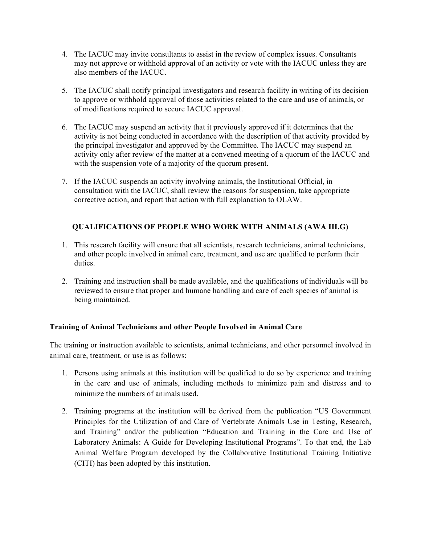- 4. The IACUC may invite consultants to assist in the review of complex issues. Consultants may not approve or withhold approval of an activity or vote with the IACUC unless they are also members of the IACUC.
- 5. The IACUC shall notify principal investigators and research facility in writing of its decision to approve or withhold approval of those activities related to the care and use of animals, or of modifications required to secure IACUC approval.
- 6. The IACUC may suspend an activity that it previously approved if it determines that the activity is not being conducted in accordance with the description of that activity provided by the principal investigator and approved by the Committee. The IACUC may suspend an activity only after review of the matter at a convened meeting of a quorum of the IACUC and with the suspension vote of a majority of the quorum present.
- 7. If the IACUC suspends an activity involving animals, the Institutional Official, in consultation with the IACUC, shall review the reasons for suspension, take appropriate corrective action, and report that action with full explanation to OLAW.

# **QUALIFICATIONS OF PEOPLE WHO WORK WITH ANIMALS (AWA III.G)**

- 1. This research facility will ensure that all scientists, research technicians, animal technicians, and other people involved in animal care, treatment, and use are qualified to perform their duties.
- 2. Training and instruction shall be made available, and the qualifications of individuals will be reviewed to ensure that proper and humane handling and care of each species of animal is being maintained.

# **Training of Animal Technicians and other People Involved in Animal Care**

The training or instruction available to scientists, animal technicians, and other personnel involved in animal care, treatment, or use is as follows:

- 1. Persons using animals at this institution will be qualified to do so by experience and training in the care and use of animals, including methods to minimize pain and distress and to minimize the numbers of animals used.
- 2. Training programs at the institution will be derived from the publication "US Government Principles for the Utilization of and Care of Vertebrate Animals Use in Testing, Research, and Training" and/or the publication "Education and Training in the Care and Use of Laboratory Animals: A Guide for Developing Institutional Programs". To that end, the Lab Animal Welfare Program developed by the Collaborative Institutional Training Initiative (CITI) has been adopted by this institution.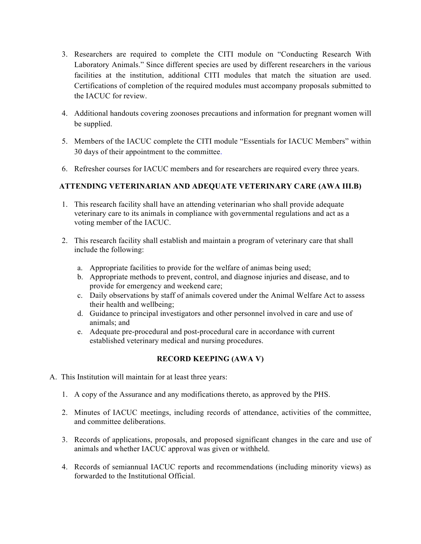- 3. Researchers are required to complete the CITI module on "Conducting Research With Laboratory Animals." Since different species are used by different researchers in the various facilities at the institution, additional CITI modules that match the situation are used. Certifications of completion of the required modules must accompany proposals submitted to the IACUC for review.
- 4. Additional handouts covering zoonoses precautions and information for pregnant women will be supplied.
- 5. Members of the IACUC complete the CITI module "Essentials for IACUC Members" within 30 days of their appointment to the committee.
- 6. Refresher courses for IACUC members and for researchers are required every three years.

## **ATTENDING VETERINARIAN AND ADEQUATE VETERINARY CARE (AWA III.B)**

- 1. This research facility shall have an attending veterinarian who shall provide adequate veterinary care to its animals in compliance with governmental regulations and act as a voting member of the IACUC.
- 2. This research facility shall establish and maintain a program of veterinary care that shall include the following:
	- a. Appropriate facilities to provide for the welfare of animas being used;
	- b. Appropriate methods to prevent, control, and diagnose injuries and disease, and to provide for emergency and weekend care;
	- c. Daily observations by staff of animals covered under the Animal Welfare Act to assess their health and wellbeing;
	- d. Guidance to principal investigators and other personnel involved in care and use of animals; and
	- e. Adequate pre-procedural and post-procedural care in accordance with current established veterinary medical and nursing procedures.

## **RECORD KEEPING (AWA V)**

- A. This Institution will maintain for at least three years:
	- 1. A copy of the Assurance and any modifications thereto, as approved by the PHS.
	- 2. Minutes of IACUC meetings, including records of attendance, activities of the committee, and committee deliberations.
	- 3. Records of applications, proposals, and proposed significant changes in the care and use of animals and whether IACUC approval was given or withheld.
	- 4. Records of semiannual IACUC reports and recommendations (including minority views) as forwarded to the Institutional Official.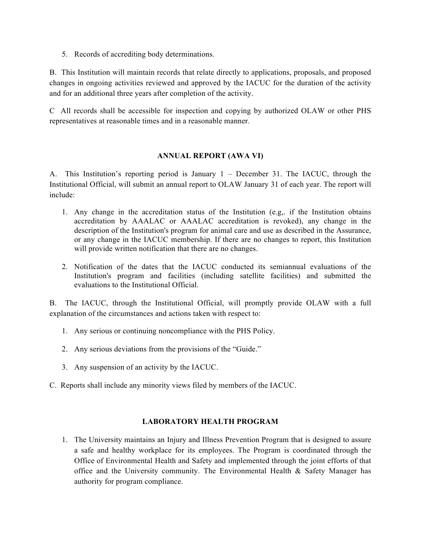5. Records of accrediting body determinations.

B. This Institution will maintain records that relate directly to applications, proposals, and proposed changes in ongoing activities reviewed and approved by the IACUC for the duration of the activity and for an additional three years after completion of the activity.

C All records shall be accessible for inspection and copying by authorized OLAW or other PHS representatives at reasonable times and in a reasonable manner.

## **ANNUAL REPORT (AWA VI)**

A. This Institution's reporting period is January 1 – December 31. The IACUC, through the Institutional Official, will submit an annual report to OLAW January 31 of each year. The report will include:

- 1. Any change in the accreditation status of the Institution (e.g,. if the Institution obtains accreditation by AAALAC or AAALAC accreditation is revoked), any change in the description of the Institution's program for animal care and use as described in the Assurance, or any change in the IACUC membership. If there are no changes to report, this Institution will provide written notification that there are no changes.
- 2. Notification of the dates that the IACUC conducted its semiannual evaluations of the Institution's program and facilities (including satellite facilities) and submitted the evaluations to the Institutional Official.

B. The IACUC, through the Institutional Official, will promptly provide OLAW with a full explanation of the circumstances and actions taken with respect to:

- 1. Any serious or continuing noncompliance with the PHS Policy.
- 2. Any serious deviations from the provisions of the "Guide."
- 3. Any suspension of an activity by the IACUC.
- C. Reports shall include any minority views filed by members of the IACUC.

## **LABORATORY HEALTH PROGRAM**

1. The University maintains an Injury and Illness Prevention Program that is designed to assure a safe and healthy workplace for its employees. The Program is coordinated through the Office of Environmental Health and Safety and implemented through the joint efforts of that office and the University community. The Environmental Health  $\&$  Safety Manager has authority for program compliance.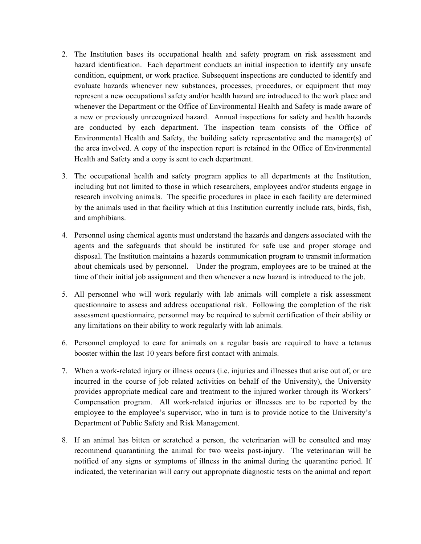- 2. The Institution bases its occupational health and safety program on risk assessment and hazard identification. Each department conducts an initial inspection to identify any unsafe condition, equipment, or work practice. Subsequent inspections are conducted to identify and evaluate hazards whenever new substances, processes, procedures, or equipment that may represent a new occupational safety and/or health hazard are introduced to the work place and whenever the Department or the Office of Environmental Health and Safety is made aware of a new or previously unrecognized hazard. Annual inspections for safety and health hazards are conducted by each department. The inspection team consists of the Office of Environmental Health and Safety, the building safety representative and the manager(s) of the area involved. A copy of the inspection report is retained in the Office of Environmental Health and Safety and a copy is sent to each department.
- 3. The occupational health and safety program applies to all departments at the Institution, including but not limited to those in which researchers, employees and/or students engage in research involving animals. The specific procedures in place in each facility are determined by the animals used in that facility which at this Institution currently include rats, birds, fish, and amphibians.
- 4. Personnel using chemical agents must understand the hazards and dangers associated with the agents and the safeguards that should be instituted for safe use and proper storage and disposal. The Institution maintains a hazards communication program to transmit information about chemicals used by personnel. Under the program, employees are to be trained at the time of their initial job assignment and then whenever a new hazard is introduced to the job.
- 5. All personnel who will work regularly with lab animals will complete a risk assessment questionnaire to assess and address occupational risk. Following the completion of the risk assessment questionnaire, personnel may be required to submit certification of their ability or any limitations on their ability to work regularly with lab animals.
- 6. Personnel employed to care for animals on a regular basis are required to have a tetanus booster within the last 10 years before first contact with animals.
- 7. When a work-related injury or illness occurs (i.e. injuries and illnesses that arise out of, or are incurred in the course of job related activities on behalf of the University), the University provides appropriate medical care and treatment to the injured worker through its Workers' Compensation program. All work-related injuries or illnesses are to be reported by the employee to the employee's supervisor, who in turn is to provide notice to the University's Department of Public Safety and Risk Management.
- 8. If an animal has bitten or scratched a person, the veterinarian will be consulted and may recommend quarantining the animal for two weeks post-injury. The veterinarian will be notified of any signs or symptoms of illness in the animal during the quarantine period. If indicated, the veterinarian will carry out appropriate diagnostic tests on the animal and report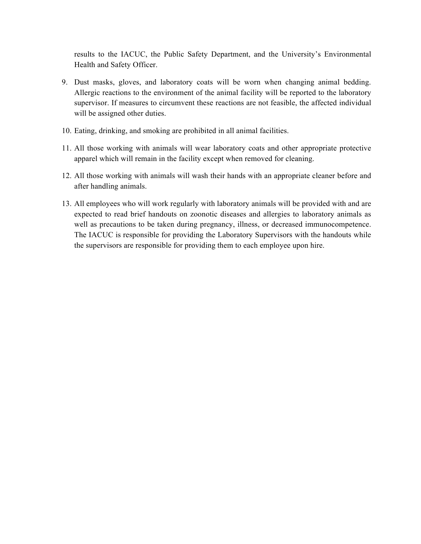results to the IACUC, the Public Safety Department, and the University's Environmental Health and Safety Officer.

- 9. Dust masks, gloves, and laboratory coats will be worn when changing animal bedding. Allergic reactions to the environment of the animal facility will be reported to the laboratory supervisor. If measures to circumvent these reactions are not feasible, the affected individual will be assigned other duties.
- 10. Eating, drinking, and smoking are prohibited in all animal facilities.
- 11. All those working with animals will wear laboratory coats and other appropriate protective apparel which will remain in the facility except when removed for cleaning.
- 12. All those working with animals will wash their hands with an appropriate cleaner before and after handling animals.
- 13. All employees who will work regularly with laboratory animals will be provided with and are expected to read brief handouts on zoonotic diseases and allergies to laboratory animals as well as precautions to be taken during pregnancy, illness, or decreased immunocompetence. The IACUC is responsible for providing the Laboratory Supervisors with the handouts while the supervisors are responsible for providing them to each employee upon hire.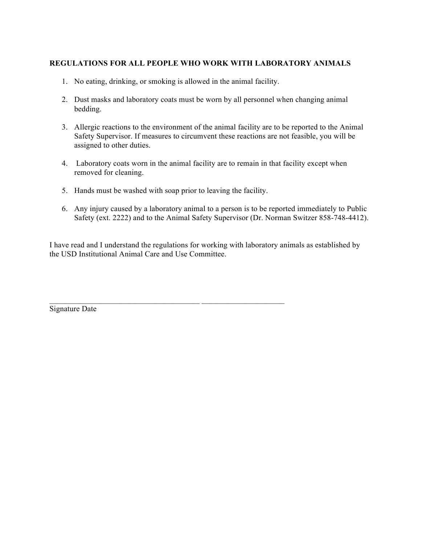## **REGULATIONS FOR ALL PEOPLE WHO WORK WITH LABORATORY ANIMALS**

- 1. No eating, drinking, or smoking is allowed in the animal facility.
- 2. Dust masks and laboratory coats must be worn by all personnel when changing animal bedding.
- 3. Allergic reactions to the environment of the animal facility are to be reported to the Animal Safety Supervisor. If measures to circumvent these reactions are not feasible, you will be assigned to other duties.
- 4. Laboratory coats worn in the animal facility are to remain in that facility except when removed for cleaning.
- 5. Hands must be washed with soap prior to leaving the facility.
- 6. Any injury caused by a laboratory animal to a person is to be reported immediately to Public Safety (ext. 2222) and to the Animal Safety Supervisor (Dr. Norman Switzer 858-748-4412).

I have read and I understand the regulations for working with laboratory animals as established by the USD Institutional Animal Care and Use Committee.

Signature Date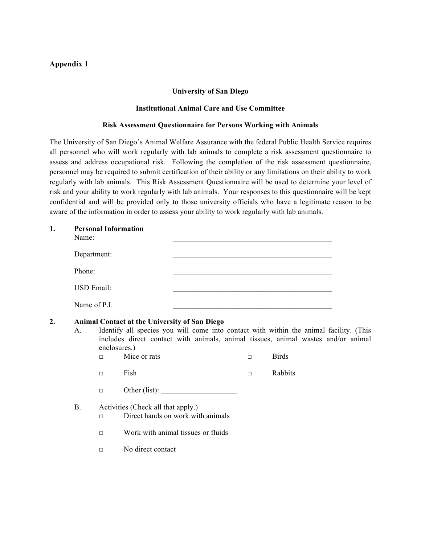## **Appendix 1**

### **University of San Diego**

#### **Institutional Animal Care and Use Committee**

### **Risk Assessment Questionnaire for Persons Working with Animals**

The University of San Diego's Animal Welfare Assurance with the federal Public Health Service requires all personnel who will work regularly with lab animals to complete a risk assessment questionnaire to assess and address occupational risk. Following the completion of the risk assessment questionnaire, personnel may be required to submit certification of their ability or any limitations on their ability to work regularly with lab animals. This Risk Assessment Questionnaire will be used to determine your level of risk and your ability to work regularly with lab animals. Your responses to this questionnaire will be kept confidential and will be provided only to those university officials who have a legitimate reason to be aware of the information in order to assess your ability to work regularly with lab animals.

| 1.                                                                                                                                                                                                                                                              | Name:        | <b>Personal Information</b> |                                    |               |        |              |  |
|-----------------------------------------------------------------------------------------------------------------------------------------------------------------------------------------------------------------------------------------------------------------|--------------|-----------------------------|------------------------------------|---------------|--------|--------------|--|
|                                                                                                                                                                                                                                                                 | Department:  |                             |                                    |               |        |              |  |
|                                                                                                                                                                                                                                                                 | Phone:       |                             |                                    |               |        |              |  |
|                                                                                                                                                                                                                                                                 | USD Email:   |                             |                                    |               |        |              |  |
|                                                                                                                                                                                                                                                                 | Name of P.I. |                             |                                    |               |        |              |  |
| 2.<br><b>Animal Contact at the University of San Diego</b><br>Identify all species you will come into contact with within the animal facility. (This<br>A.<br>includes direct contact with animals, animal tissues, animal wastes and/or animal<br>enclosures.) |              |                             |                                    |               |        |              |  |
|                                                                                                                                                                                                                                                                 |              | $\Box$                      | Mice or rats                       |               | $\Box$ | <b>Birds</b> |  |
|                                                                                                                                                                                                                                                                 |              | $\Box$                      | Fish                               |               | $\Box$ | Rabbits      |  |
|                                                                                                                                                                                                                                                                 |              | $\Box$                      |                                    | Other (list): |        |              |  |
|                                                                                                                                                                                                                                                                 | <b>B.</b>    |                             | Activities (Check all that apply.) |               |        |              |  |

### □ Direct hands on work with animals

- □ Work with animal tissues or fluids
- □ No direct contact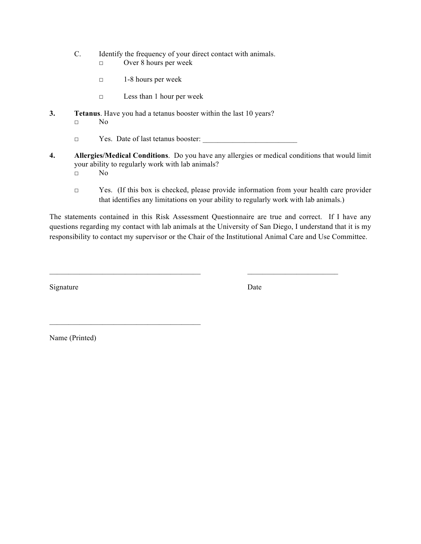- C. Identify the frequency of your direct contact with animals.
	- □ Over 8 hours per week
	- □ 1-8 hours per week
	- □ Less than 1 hour per week
- **3. Tetanus**. Have you had a tetanus booster within the last 10 years? □ No
	- □ Yes. Date of last tetanus booster:
- **4. Allergies/Medical Conditions**. Do you have any allergies or medical conditions that would limit your ability to regularly work with lab animals? □ No
	- □ Yes. (If this box is checked, please provide information from your health care provider that identifies any limitations on your ability to regularly work with lab animals.)

The statements contained in this Risk Assessment Questionnaire are true and correct. If I have any questions regarding my contact with lab animals at the University of San Diego, I understand that it is my responsibility to contact my supervisor or the Chair of the Institutional Animal Care and Use Committee.

Signature Date

Name (Printed)

 $\mathcal{L}_\text{max} = \mathcal{L}_\text{max} = \mathcal{L}_\text{max} = \mathcal{L}_\text{max} = \mathcal{L}_\text{max}$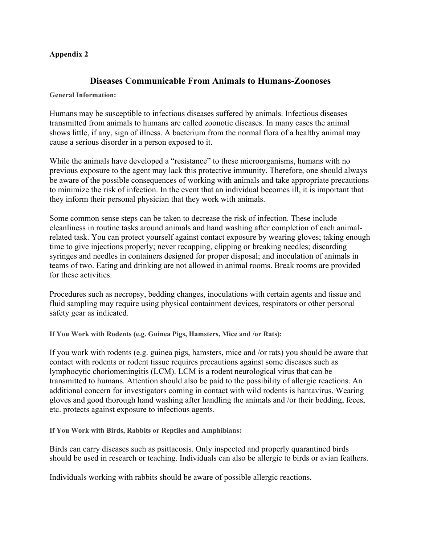## **Appendix 2**

# **Diseases Communicable From Animals to Humans-Zoonoses**

### **General Information:**

Humans may be susceptible to infectious diseases suffered by animals. Infectious diseases transmitted from animals to humans are called zoonotic diseases. In many cases the animal shows little, if any, sign of illness. A bacterium from the normal flora of a healthy animal may cause a serious disorder in a person exposed to it.

While the animals have developed a "resistance" to these microorganisms, humans with no previous exposure to the agent may lack this protective immunity. Therefore, one should always be aware of the possible consequences of working with animals and take appropriate precautions to minimize the risk of infection. In the event that an individual becomes ill, it is important that they inform their personal physician that they work with animals.

Some common sense steps can be taken to decrease the risk of infection. These include cleanliness in routine tasks around animals and hand washing after completion of each animalrelated task. You can protect yourself against contact exposure by wearing gloves; taking enough time to give injections properly; never recapping, clipping or breaking needles; discarding syringes and needles in containers designed for proper disposal; and inoculation of animals in teams of two. Eating and drinking are not allowed in animal rooms. Break rooms are provided for these activities.

Procedures such as necropsy, bedding changes, inoculations with certain agents and tissue and fluid sampling may require using physical containment devices, respirators or other personal safety gear as indicated.

**If You Work with Rodents (e.g. Guinea Pigs, Hamsters, Mice and /or Rats):**

If you work with rodents (e.g. guinea pigs, hamsters, mice and /or rats) you should be aware that contact with rodents or rodent tissue requires precautions against some diseases such as lymphocytic choriomeningitis (LCM). LCM is a rodent neurological virus that can be transmitted to humans. Attention should also be paid to the possibility of allergic reactions. An additional concern for investigators coming in contact with wild rodents is hantavirus. Wearing gloves and good thorough hand washing after handling the animals and /or their bedding, feces, etc. protects against exposure to infectious agents.

**If You Work with Birds, Rabbits or Reptiles and Amphibians:**

Birds can carry diseases such as psittacosis. Only inspected and properly quarantined birds should be used in research or teaching. Individuals can also be allergic to birds or avian feathers.

Individuals working with rabbits should be aware of possible allergic reactions.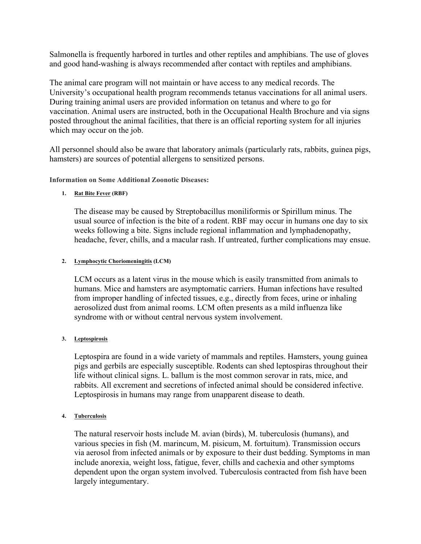Salmonella is frequently harbored in turtles and other reptiles and amphibians. The use of gloves and good hand-washing is always recommended after contact with reptiles and amphibians.

The animal care program will not maintain or have access to any medical records. The University's occupational health program recommends tetanus vaccinations for all animal users. During training animal users are provided information on tetanus and where to go for vaccination. Animal users are instructed, both in the Occupational Health Brochure and via signs posted throughout the animal facilities, that there is an official reporting system for all injuries which may occur on the job.

All personnel should also be aware that laboratory animals (particularly rats, rabbits, guinea pigs, hamsters) are sources of potential allergens to sensitized persons.

**Information on Some Additional Zoonotic Diseases:**

## **1. Rat Bite Fever (RBF)**

The disease may be caused by Streptobacillus moniliformis or Spirillum minus. The usual source of infection is the bite of a rodent. RBF may occur in humans one day to six weeks following a bite. Signs include regional inflammation and lymphadenopathy, headache, fever, chills, and a macular rash. If untreated, further complications may ensue.

### **2. Lymphocytic Choriomeningitis (LCM)**

LCM occurs as a latent virus in the mouse which is easily transmitted from animals to humans. Mice and hamsters are asymptomatic carriers. Human infections have resulted from improper handling of infected tissues, e.g., directly from feces, urine or inhaling aerosolized dust from animal rooms. LCM often presents as a mild influenza like syndrome with or without central nervous system involvement.

## **3. Leptospirosis**

Leptospira are found in a wide variety of mammals and reptiles. Hamsters, young guinea pigs and gerbils are especially susceptible. Rodents can shed leptospiras throughout their life without clinical signs. L. ballum is the most common serovar in rats, mice, and rabbits. All excrement and secretions of infected animal should be considered infective. Leptospirosis in humans may range from unapparent disease to death.

### **4. Tuberculosis**

The natural reservoir hosts include M. avian (birds), M. tuberculosis (humans), and various species in fish (M. marincum, M. pisicum, M. fortuitum). Transmission occurs via aerosol from infected animals or by exposure to their dust bedding. Symptoms in man include anorexia, weight loss, fatigue, fever, chills and cachexia and other symptoms dependent upon the organ system involved. Tuberculosis contracted from fish have been largely integumentary.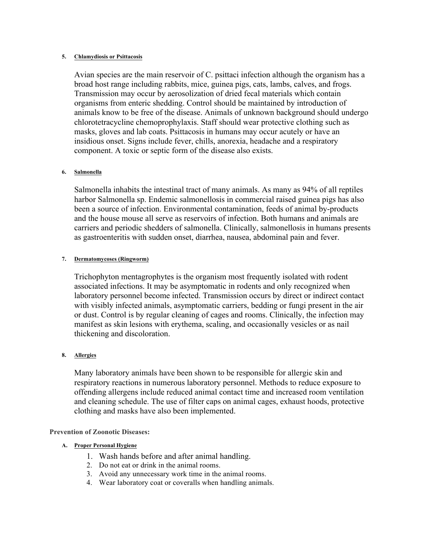#### **5. Chlamydiosis or Psittacosis**

Avian species are the main reservoir of C. psittaci infection although the organism has a broad host range including rabbits, mice, guinea pigs, cats, lambs, calves, and frogs. Transmission may occur by aerosolization of dried fecal materials which contain organisms from enteric shedding. Control should be maintained by introduction of animals know to be free of the disease. Animals of unknown background should undergo chlorotetracycline chemoprophylaxis. Staff should wear protective clothing such as masks, gloves and lab coats. Psittacosis in humans may occur acutely or have an insidious onset. Signs include fever, chills, anorexia, headache and a respiratory component. A toxic or septic form of the disease also exists.

#### **6. Salmonella**

Salmonella inhabits the intestinal tract of many animals. As many as 94% of all reptiles harbor Salmonella sp. Endemic salmonellosis in commercial raised guinea pigs has also been a source of infection. Environmental contamination, feeds of animal by-products and the house mouse all serve as reservoirs of infection. Both humans and animals are carriers and periodic shedders of salmonella. Clinically, salmonellosis in humans presents as gastroenteritis with sudden onset, diarrhea, nausea, abdominal pain and fever.

#### **7. Dermatomycoses (Ringworm)**

Trichophyton mentagrophytes is the organism most frequently isolated with rodent associated infections. It may be asymptomatic in rodents and only recognized when laboratory personnel become infected. Transmission occurs by direct or indirect contact with visibly infected animals, asymptomatic carriers, bedding or fungi present in the air or dust. Control is by regular cleaning of cages and rooms. Clinically, the infection may manifest as skin lesions with erythema, scaling, and occasionally vesicles or as nail thickening and discoloration.

### **8. Allergies**

Many laboratory animals have been shown to be responsible for allergic skin and respiratory reactions in numerous laboratory personnel. Methods to reduce exposure to offending allergens include reduced animal contact time and increased room ventilation and cleaning schedule. The use of filter caps on animal cages, exhaust hoods, protective clothing and masks have also been implemented.

### **Prevention of Zoonotic Diseases:**

### **A. Proper Personal Hygiene**

- 1. Wash hands before and after animal handling.
- 2. Do not eat or drink in the animal rooms.
- 3. Avoid any unnecessary work time in the animal rooms.
- 4. Wear laboratory coat or coveralls when handling animals.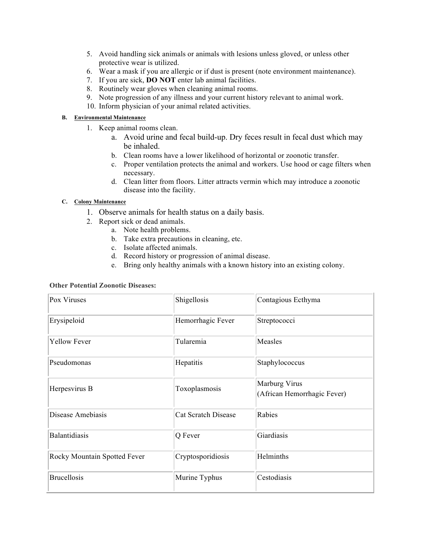- 5. Avoid handling sick animals or animals with lesions unless gloved, or unless other protective wear is utilized.
- 6. Wear a mask if you are allergic or if dust is present (note environment maintenance).
- 7. If you are sick, **DO NOT** enter lab animal facilities.
- 8. Routinely wear gloves when cleaning animal rooms.
- 9. Note progression of any illness and your current history relevant to animal work.
- 10. Inform physician of your animal related activities.

### **B. Environmental Maintenance**

- 1. Keep animal rooms clean.
	- a. Avoid urine and fecal build-up. Dry feces result in fecal dust which may be inhaled.
	- b. Clean rooms have a lower likelihood of horizontal or zoonotic transfer.
	- c. Proper ventilation protects the animal and workers. Use hood or cage filters when necessary.
	- d. Clean litter from floors. Litter attracts vermin which may introduce a zoonotic disease into the facility.

### **C. Colony Maintenance**

- 1. Observe animals for health status on a daily basis.
- 2. Report sick or dead animals.
	- a. Note health problems.
	- b. Take extra precautions in cleaning, etc.
	- c. Isolate affected animals.
	- d. Record history or progression of animal disease.
	- e. Bring only healthy animals with a known history into an existing colony.

#### **Other Potential Zoonotic Diseases:**

| Pox Viruses                  | Shigellosis                | Contagious Ecthyma                           |
|------------------------------|----------------------------|----------------------------------------------|
| Erysipeloid                  | Hemorrhagic Fever          | Streptococci                                 |
| <b>Yellow Fever</b>          | Tularemia                  | Measles                                      |
| Pseudomonas                  | Hepatitis                  | Staphylococcus                               |
| Herpesvirus B                | Toxoplasmosis              | Marburg Virus<br>(African Hemorrhagic Fever) |
| Disease Amebiasis            | <b>Cat Scratch Disease</b> | Rabies                                       |
| <b>Balantidiasis</b>         | Q Fever                    | Giardiasis                                   |
| Rocky Mountain Spotted Fever | Cryptosporidiosis          | Helminths                                    |
| <b>Brucellosis</b>           | Murine Typhus              | Cestodiasis                                  |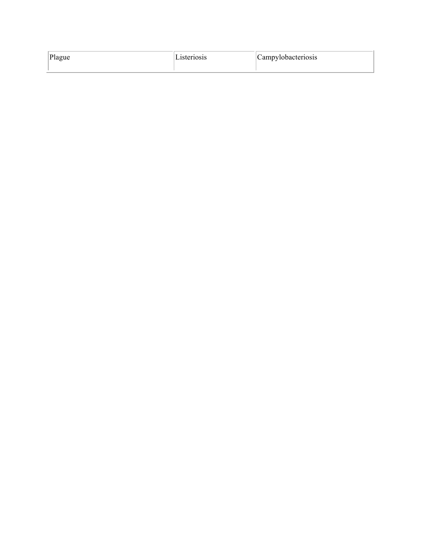| Plague | 1steriosis | Campylobacteriosis |
|--------|------------|--------------------|
|        |            |                    |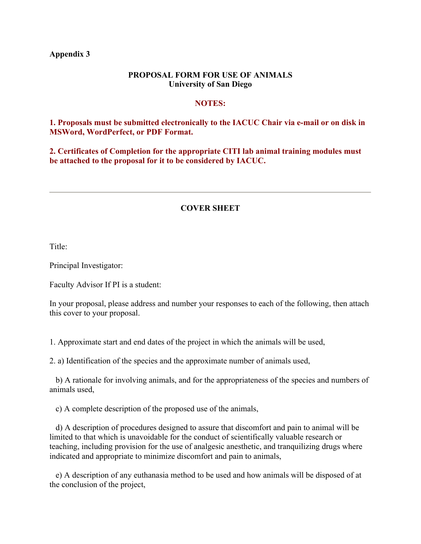**Appendix 3**

## **PROPOSAL FORM FOR USE OF ANIMALS University of San Diego**

## **NOTES:**

## **1. Proposals must be submitted electronically to the IACUC Chair via e-mail or on disk in MSWord, WordPerfect, or PDF Format.**

**2. Certificates of Completion for the appropriate CITI lab animal training modules must be attached to the proposal for it to be considered by IACUC.**

# **COVER SHEET**

Title:

Principal Investigator:

Faculty Advisor If PI is a student:

In your proposal, please address and number your responses to each of the following, then attach this cover to your proposal.

1. Approximate start and end dates of the project in which the animals will be used,

2. a) Identification of the species and the approximate number of animals used,

 b) A rationale for involving animals, and for the appropriateness of the species and numbers of animals used,

c) A complete description of the proposed use of the animals,

 d) A description of procedures designed to assure that discomfort and pain to animal will be limited to that which is unavoidable for the conduct of scientifically valuable research or teaching, including provision for the use of analgesic anesthetic, and tranquilizing drugs where indicated and appropriate to minimize discomfort and pain to animals,

 e) A description of any euthanasia method to be used and how animals will be disposed of at the conclusion of the project,